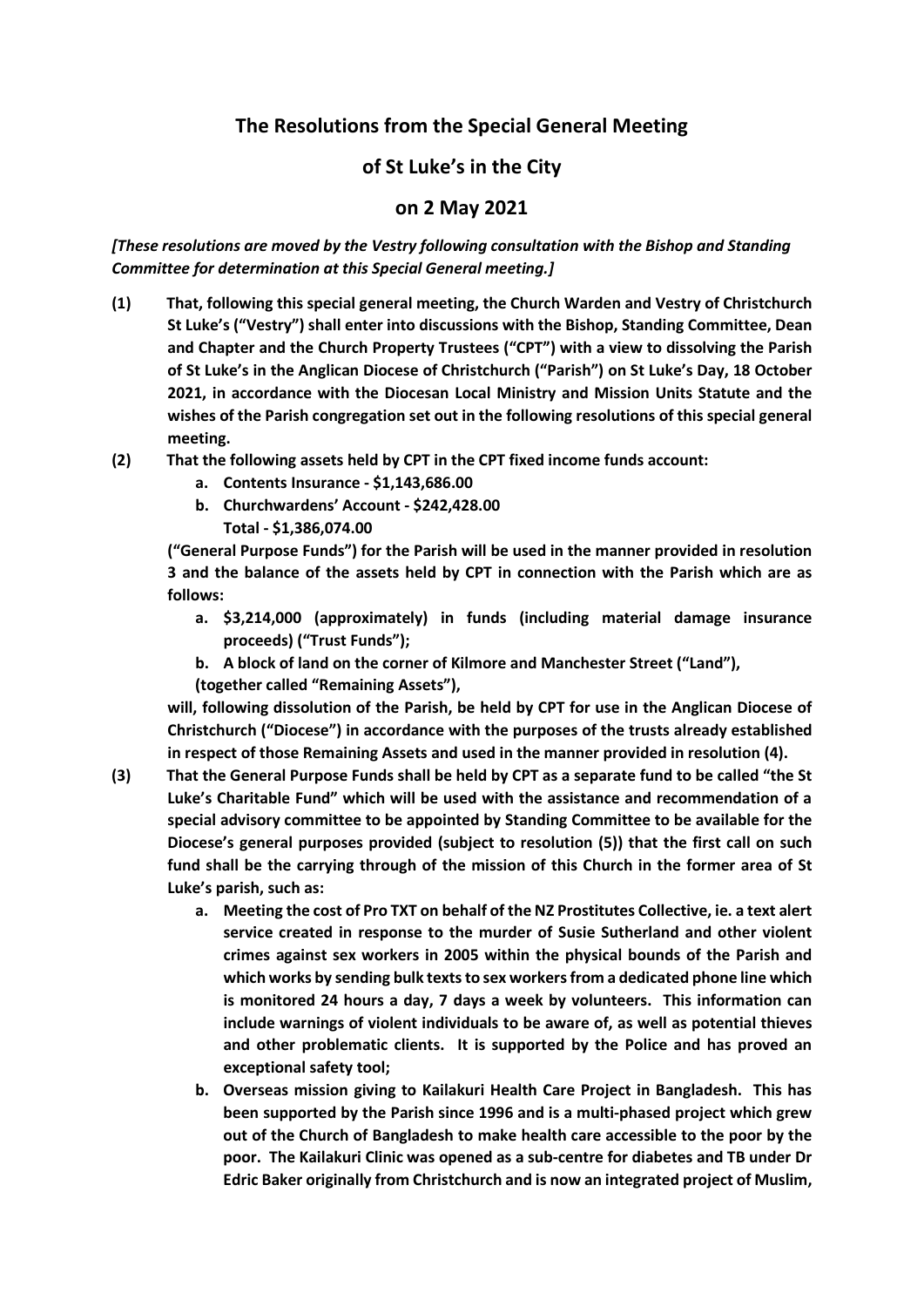## **The Resolutions from the Special General Meeting**

## **of St Luke's in the City**

## **on 2 May 2021**

*[These resolutions are moved by the Vestry following consultation with the Bishop and Standing Committee for determination at this Special General meeting.]*

- **(1) That, following this special general meeting, the Church Warden and Vestry of Christchurch St Luke's ("Vestry") shall enter into discussions with the Bishop, Standing Committee, Dean and Chapter and the Church Property Trustees ("CPT") with a view to dissolving the Parish of St Luke's in the Anglican Diocese of Christchurch ("Parish") on St Luke's Day, 18 October 2021, in accordance with the Diocesan Local Ministry and Mission Units Statute and the wishes of the Parish congregation set out in the following resolutions of this special general meeting.**
- **(2) That the following assets held by CPT in the CPT fixed income funds account:**
	- **a. Contents Insurance - \$1,143,686.00**
	- **b. Churchwardens' Account - \$242,428.00 Total - \$1,386,074.00**

**("General Purpose Funds") for the Parish will be used in the manner provided in resolution 3 and the balance of the assets held by CPT in connection with the Parish which are as follows:**

- **a. \$3,214,000 (approximately) in funds (including material damage insurance proceeds) ("Trust Funds");**
- **b. A block of land on the corner of Kilmore and Manchester Street ("Land"),**
- **(together called "Remaining Assets"),**

**will, following dissolution of the Parish, be held by CPT for use in the Anglican Diocese of Christchurch ("Diocese") in accordance with the purposes of the trusts already established in respect of those Remaining Assets and used in the manner provided in resolution (4).**

- **(3) That the General Purpose Funds shall be held by CPT as a separate fund to be called "the St Luke's Charitable Fund" which will be used with the assistance and recommendation of a special advisory committee to be appointed by Standing Committee to be available for the Diocese's general purposes provided (subject to resolution (5)) that the first call on such fund shall be the carrying through of the mission of this Church in the former area of St Luke's parish, such as:**
	- **a. Meeting the cost of Pro TXT on behalf of the NZ Prostitutes Collective, ie. a text alert service created in response to the murder of Susie Sutherland and other violent crimes against sex workers in 2005 within the physical bounds of the Parish and which works by sending bulk texts to sex workers from a dedicated phone line which is monitored 24 hours a day, 7 days a week by volunteers. This information can include warnings of violent individuals to be aware of, as well as potential thieves and other problematic clients. It is supported by the Police and has proved an exceptional safety tool;**
	- **b. Overseas mission giving to Kailakuri Health Care Project in Bangladesh. This has been supported by the Parish since 1996 and is a multi-phased project which grew out of the Church of Bangladesh to make health care accessible to the poor by the poor. The Kailakuri Clinic was opened as a sub-centre for diabetes and TB under Dr Edric Baker originally from Christchurch and is now an integrated project of Muslim,**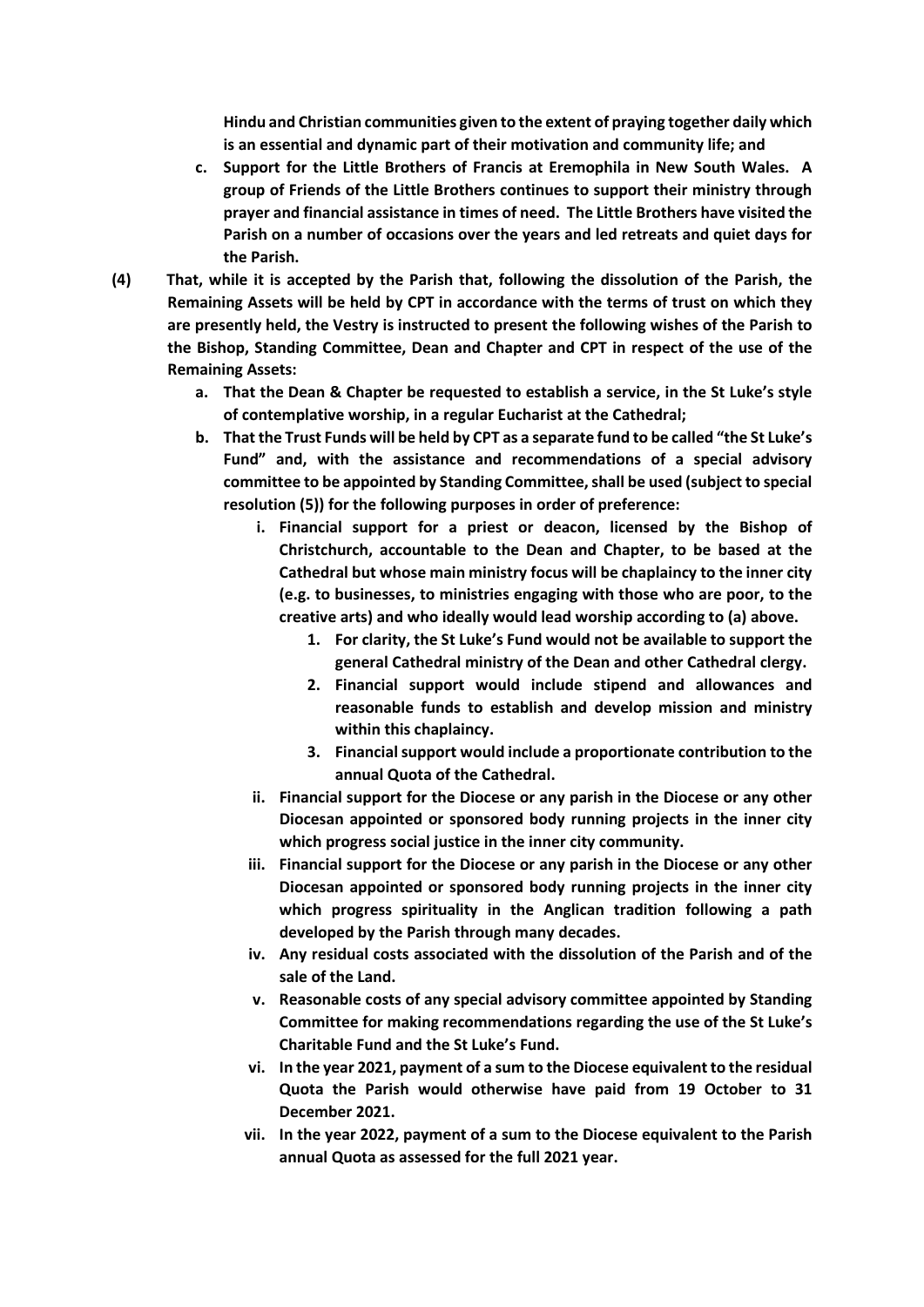**Hindu and Christian communities given to the extent of praying together daily which is an essential and dynamic part of their motivation and community life; and**

- **c. Support for the Little Brothers of Francis at Eremophila in New South Wales. A group of Friends of the Little Brothers continues to support their ministry through prayer and financial assistance in times of need. The Little Brothers have visited the Parish on a number of occasions over the years and led retreats and quiet days for the Parish.**
- **(4) That, while it is accepted by the Parish that, following the dissolution of the Parish, the Remaining Assets will be held by CPT in accordance with the terms of trust on which they are presently held, the Vestry is instructed to present the following wishes of the Parish to the Bishop, Standing Committee, Dean and Chapter and CPT in respect of the use of the Remaining Assets:**
	- **a. That the Dean & Chapter be requested to establish a service, in the St Luke's style of contemplative worship, in a regular Eucharist at the Cathedral;**
	- **b. That the Trust Funds will be held by CPT as a separate fund to be called "the St Luke's Fund" and, with the assistance and recommendations of a special advisory committee to be appointed by Standing Committee, shall be used (subject to special resolution (5)) for the following purposes in order of preference:**
		- **i. Financial support for a priest or deacon, licensed by the Bishop of Christchurch, accountable to the Dean and Chapter, to be based at the Cathedral but whose main ministry focus will be chaplaincy to the inner city (e.g. to businesses, to ministries engaging with those who are poor, to the creative arts) and who ideally would lead worship according to (a) above.** 
			- **1. For clarity, the St Luke's Fund would not be available to support the general Cathedral ministry of the Dean and other Cathedral clergy.**
			- **2. Financial support would include stipend and allowances and reasonable funds to establish and develop mission and ministry within this chaplaincy.**
			- **3. Financial support would include a proportionate contribution to the annual Quota of the Cathedral.**
		- **ii. Financial support for the Diocese or any parish in the Diocese or any other Diocesan appointed or sponsored body running projects in the inner city which progress social justice in the inner city community.**
		- **iii. Financial support for the Diocese or any parish in the Diocese or any other Diocesan appointed or sponsored body running projects in the inner city which progress spirituality in the Anglican tradition following a path developed by the Parish through many decades.**
		- **iv. Any residual costs associated with the dissolution of the Parish and of the sale of the Land.**
		- **v. Reasonable costs of any special advisory committee appointed by Standing Committee for making recommendations regarding the use of the St Luke's Charitable Fund and the St Luke's Fund.**
		- **vi. In the year 2021, payment of a sum to the Diocese equivalent to the residual Quota the Parish would otherwise have paid from 19 October to 31 December 2021.**
		- **vii. In the year 2022, payment of a sum to the Diocese equivalent to the Parish annual Quota as assessed for the full 2021 year.**